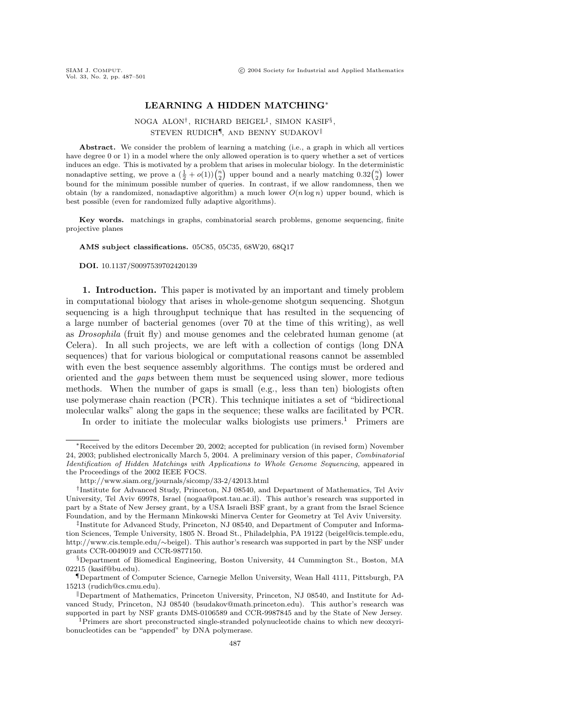## **LEARNING A HIDDEN MATCHING**<sup>∗</sup>

## NOGA ALON†, RICHARD BEIGEL‡, SIMON KASIF§, STEVEN RUDICH<sup>¶</sup>, AND BENNY SUDAKOV<sup>II</sup>

**Abstract.** We consider the problem of learning a matching (i.e., a graph in which all vertices have degree 0 or 1) in a model where the only allowed operation is to query whether a set of vertices induces an edge. This is motivated by a problem that arises in molecular biology. In the deterministic nonadaptive setting, we prove a  $(\frac{1}{2} + o(1))\binom{n}{2}$  upper bound and a nearly matching  $0.32\binom{n}{2}$  lower bound for the minimum possible number of queries. In contrast, if we allow randomness, then we obtain (by a randomized, nonadaptive algorithm) a much lower  $O(n \log n)$  upper bound, which is best possible (even for randomized fully adaptive algorithms).

**Key words.** matchings in graphs, combinatorial search problems, genome sequencing, finite projective planes

**AMS subject classifications.** 05C85, 05C35, 68W20, 68Q17

**DOI.** 10.1137/S0097539702420139

**1. Introduction.** This paper is motivated by an important and timely problem in computational biology that arises in whole-genome shotgun sequencing. Shotgun sequencing is a high throughput technique that has resulted in the sequencing of a large number of bacterial genomes (over 70 at the time of this writing), as well as Drosophila (fruit fly) and mouse genomes and the celebrated human genome (at Celera). In all such projects, we are left with a collection of contigs (long DNA sequences) that for various biological or computational reasons cannot be assembled with even the best sequence assembly algorithms. The contigs must be ordered and oriented and the gaps between them must be sequenced using slower, more tedious methods. When the number of gaps is small (e.g., less than ten) biologists often use polymerase chain reaction (PCR). This technique initiates a set of "bidirectional molecular walks" along the gaps in the sequence; these walks are facilitated by PCR.

In order to initiate the molecular walks biologists use primers.<sup>1</sup> Primers are

<sup>∗</sup>Received by the editors December 20, 2002; accepted for publication (in revised form) November 24, 2003; published electronically March 5, 2004. A preliminary version of this paper, Combinatorial Identification of Hidden Matchings with Applications to Whole Genome Sequencing, appeared in the Proceedings of the 2002 IEEE FOCS.

http://www.siam.org/journals/sicomp/33-2/42013.html

<sup>†</sup>Institute for Advanced Study, Princeton, NJ 08540, and Department of Mathematics, Tel Aviv University, Tel Aviv 69978, Israel (nogaa@post.tau.ac.il). This author's research was supported in part by a State of New Jersey grant, by a USA Israeli BSF grant, by a grant from the Israel Science Foundation, and by the Hermann Minkowski Minerva Center for Geometry at Tel Aviv University.

<sup>‡</sup>Institute for Advanced Study, Princeton, NJ 08540, and Department of Computer and Information Sciences, Temple University, 1805 N. Broad St., Philadelphia, PA 19122 (beigel@cis.temple.edu, http://www.cis.temple.edu/∼beigel). This author's research was supported in part by the NSF under grants CCR-0049019 and CCR-9877150.

<sup>§</sup>Department of Biomedical Engineering, Boston University, 44 Cummington St., Boston, MA 02215 (kasif@bu.edu).

<sup>¶</sup>Department of Computer Science, Carnegie Mellon University, Wean Hall 4111, Pittsburgh, PA 15213 (rudich@cs.cmu.edu).

Department of Mathematics, Princeton University, Princeton, NJ 08540, and Institute for Advanced Study, Princeton, NJ 08540 (bsudakov@math.princeton.edu). This author's research was supported in part by NSF grants DMS-0106589 and CCR-9987845 and by the State of New Jersey.

<sup>1</sup>Primers are short preconstructed single-stranded polynucleotide chains to which new deoxyribonucleotides can be "appended" by DNA polymerase.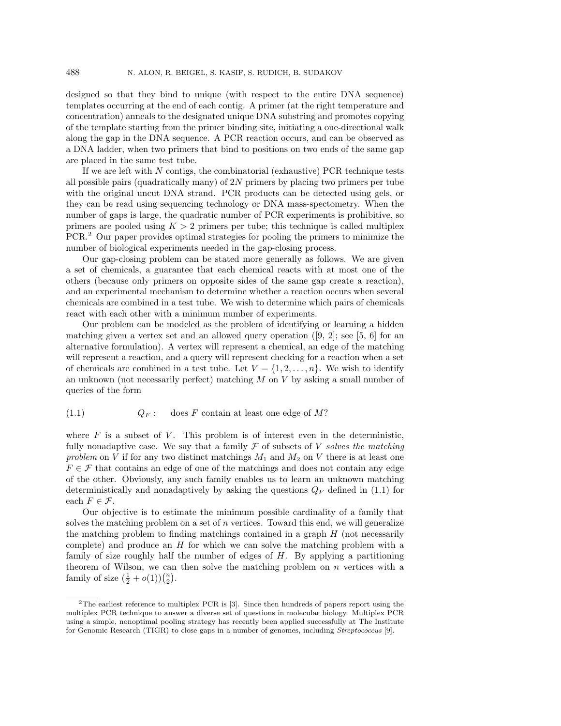designed so that they bind to unique (with respect to the entire DNA sequence) templates occurring at the end of each contig. A primer (at the right temperature and concentration) anneals to the designated unique DNA substring and promotes copying of the template starting from the primer binding site, initiating a one-directional walk along the gap in the DNA sequence. A PCR reaction occurs, and can be observed as a DNA ladder, when two primers that bind to positions on two ends of the same gap are placed in the same test tube.

If we are left with N contigs, the combinatorial (exhaustive) PCR technique tests all possible pairs (quadratically many) of  $2N$  primers by placing two primers per tube with the original uncut DNA strand. PCR products can be detected using gels, or they can be read using sequencing technology or DNA mass-spectometry. When the number of gaps is large, the quadratic number of PCR experiments is prohibitive, so primers are pooled using  $K > 2$  primers per tube; this technique is called multiplex PCR.<sup>2</sup> Our paper provides optimal strategies for pooling the primers to minimize the number of biological experiments needed in the gap-closing process.

Our gap-closing problem can be stated more generally as follows. We are given a set of chemicals, a guarantee that each chemical reacts with at most one of the others (because only primers on opposite sides of the same gap create a reaction), and an experimental mechanism to determine whether a reaction occurs when several chemicals are combined in a test tube. We wish to determine which pairs of chemicals react with each other with a minimum number of experiments.

Our problem can be modeled as the problem of identifying or learning a hidden matching given a vertex set and an allowed query operation  $([9, 2];$  see [5, 6] for an alternative formulation). A vertex will represent a chemical, an edge of the matching will represent a reaction, and a query will represent checking for a reaction when a set of chemicals are combined in a test tube. Let  $V = \{1, 2, \ldots, n\}$ . We wish to identify an unknown (not necessarily perfect) matching  $M$  on  $V$  by asking a small number of queries of the form

$$
(1.1) \tQF: does F contain at least one edge of M?
$$

where  $F$  is a subset of  $V$ . This problem is of interest even in the deterministic, fully nonadaptive case. We say that a family  $\mathcal F$  of subsets of V solves the matching problem on V if for any two distinct matchings  $M_1$  and  $M_2$  on V there is at least one  $F \in \mathcal{F}$  that contains an edge of one of the matchings and does not contain any edge of the other. Obviously, any such family enables us to learn an unknown matching deterministically and nonadaptively by asking the questions  $Q_F$  defined in (1.1) for each  $F \in \mathcal{F}$ .

Our objective is to estimate the minimum possible cardinality of a family that solves the matching problem on a set of  $n$  vertices. Toward this end, we will generalize the matching problem to finding matchings contained in a graph H (not necessarily complete) and produce an H for which we can solve the matching problem with a family of size roughly half the number of edges of H. By applying a partitioning theorem of Wilson, we can then solve the matching problem on  $n$  vertices with a family of size  $\left(\frac{1}{2} + o(1)\right)\binom{n}{2}$ .

 $2$ The earliest reference to multiplex PCR is [3]. Since then hundreds of papers report using the multiplex PCR technique to answer a diverse set of questions in molecular biology. Multiplex PCR using a simple, nonoptimal pooling strategy has recently been applied successfully at The Institute for Genomic Research (TIGR) to close gaps in a number of genomes, including Streptococcus [9].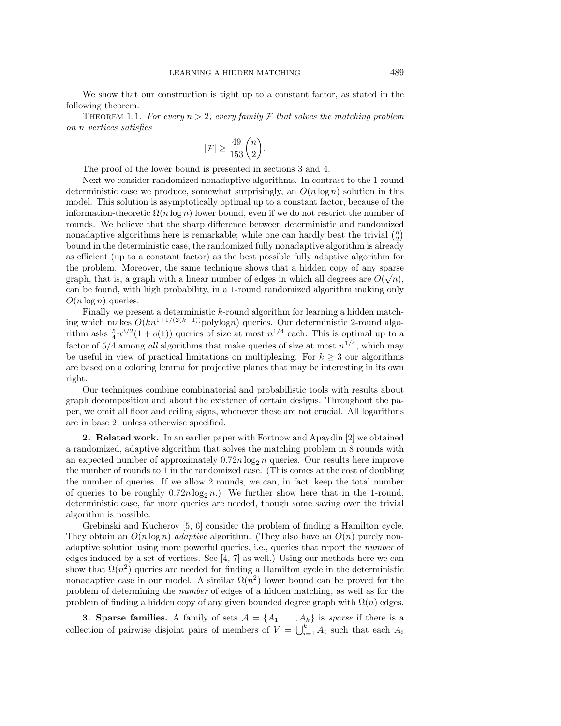We show that our construction is tight up to a constant factor, as stated in the following theorem.

THEOREM 1.1. For every  $n > 2$ , every family F that solves the matching problem on n vertices satisfies

$$
|\mathcal{F}| \ge \frac{49}{153} \binom{n}{2}.
$$

The proof of the lower bound is presented in sections 3 and 4.

Next we consider randomized nonadaptive algorithms. In contrast to the 1-round deterministic case we produce, somewhat surprisingly, an  $O(n \log n)$  solution in this model. This solution is asymptotically optimal up to a constant factor, because of the information-theoretic  $\Omega(n \log n)$  lower bound, even if we do not restrict the number of rounds. We believe that the sharp difference between deterministic and randomized nonadaptive algorithms here is remarkable; while one can hardly beat the trivial  $\binom{n}{2}$ bound in the deterministic case, the randomized fully nonadaptive algorithm is already as efficient (up to a constant factor) as the best possible fully adaptive algorithm for the problem. Moreover, the same technique shows that a hidden copy of any sparse graph, that is, a graph with a linear number of edges in which all degrees are  $O(\sqrt{n})$ , can be found, with high probability, in a 1-round randomized algorithm making only  $O(n \log n)$  queries.

Finally we present a deterministic k-round algorithm for learning a hidden matching which makes  $O(kn^{1+1/(2(k-1))}\text{polylog}n)$  queries. Our deterministic 2-round algorithm asks  $\frac{5}{4}n^{3/2}(1+o(1))$  queries of size at most  $n^{1/4}$  each. This is optimal up to a factor of 5/4 among all algorithms that make queries of size at most  $n^{1/4}$ , which may be useful in view of practical limitations on multiplexing. For  $k \geq 3$  our algorithms are based on a coloring lemma for projective planes that may be interesting in its own right.

Our techniques combine combinatorial and probabilistic tools with results about graph decomposition and about the existence of certain designs. Throughout the paper, we omit all floor and ceiling signs, whenever these are not crucial. All logarithms are in base 2, unless otherwise specified.

**2. Related work.** In an earlier paper with Fortnow and Apaydin [2] we obtained a randomized, adaptive algorithm that solves the matching problem in 8 rounds with an expected number of approximately  $0.72n \log_2 n$  queries. Our results here improve the number of rounds to 1 in the randomized case. (This comes at the cost of doubling the number of queries. If we allow 2 rounds, we can, in fact, keep the total number of queries to be roughly  $0.72n \log_2 n$ .) We further show here that in the 1-round, deterministic case, far more queries are needed, though some saving over the trivial algorithm is possible.

Grebinski and Kucherov [5, 6] consider the problem of finding a Hamilton cycle. They obtain an  $O(n \log n)$  adaptive algorithm. (They also have an  $O(n)$  purely nonadaptive solution using more powerful queries, i.e., queries that report the number of edges induced by a set of vertices. See [4, 7] as well.) Using our methods here we can show that  $\Omega(n^2)$  queries are needed for finding a Hamilton cycle in the deterministic nonadaptive case in our model. A similar  $\Omega(n^2)$  lower bound can be proved for the problem of determining the number of edges of a hidden matching, as well as for the problem of finding a hidden copy of any given bounded degree graph with  $\Omega(n)$  edges.

**3. Sparse families.** A family of sets  $A = \{A_1, \ldots, A_k\}$  is *sparse* if there is a collection of pairwise disjoint pairs of members of  $V = \bigcup_{i=1}^{k} A_i$  such that each  $A_i$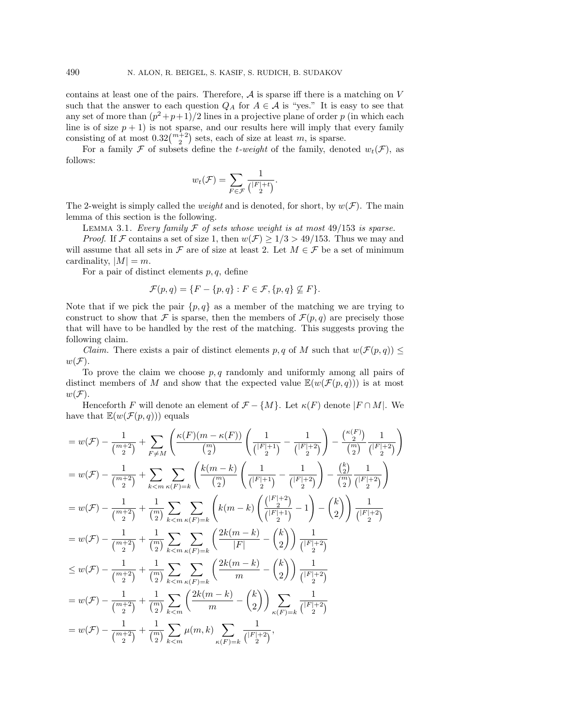contains at least one of the pairs. Therefore,  $A$  is sparse iff there is a matching on  $V$ such that the answer to each question  $Q_A$  for  $A \in \mathcal{A}$  is "yes." It is easy to see that any set of more than  $(p^2+p+1)/2$  lines in a projective plane of order p (in which each line is of size  $p + 1$ ) is not sparse, and our results here will imply that every family consisting of at most  $0.32\binom{m+2}{2}$  sets, each of size at least m, is sparse.

For a family F of subsets define the t-weight of the family, denoted  $w_t(\mathcal{F})$ , as follows:

$$
w_t(\mathcal{F}) = \sum_{F \in \mathcal{F}} \frac{1}{\binom{|F|+t}{2}}.
$$

The 2-weight is simply called the *weight* and is denoted, for short, by  $w(\mathcal{F})$ . The main lemma of this section is the following.

LEMMA 3.1. Every family  $\mathcal F$  of sets whose weight is at most 49/153 is sparse.

*Proof.* If F contains a set of size 1, then  $w(F) > 1/3 > 49/153$ . Thus we may and will assume that all sets in  $\mathcal F$  are of size at least 2. Let  $M \in \mathcal F$  be a set of minimum cardinality,  $|M| = m$ .

For a pair of distinct elements  $p, q$ , define

$$
\mathcal{F}(p,q) = \{F - \{p,q\} : F \in \mathcal{F}, \{p,q\} \not\subseteq F\}.
$$

Note that if we pick the pair  $\{p,q\}$  as a member of the matching we are trying to construct to show that F is sparse, then the members of  $\mathcal{F}(p,q)$  are precisely those that will have to be handled by the rest of the matching. This suggests proving the following claim.

*Claim.* There exists a pair of distinct elements p, q of M such that  $w(\mathcal{F}(p,q)) \leq$  $w(\mathcal{F}).$ 

To prove the claim we choose  $p, q$  randomly and uniformly among all pairs of distinct members of M and show that the expected value  $\mathbb{E}(w(\mathcal{F}(p,q)))$  is at most  $w(\mathcal{F}).$ 

Henceforth F will denote an element of  $\mathcal{F}-\{M\}$ . Let  $\kappa(F)$  denote  $|F \cap M|$ . We have that  $\mathbb{E}(w(\mathcal{F}(p,q)))$  equals

$$
= w(\mathcal{F}) - \frac{1}{\binom{m+2}{2}} + \sum_{F \neq M} \left( \frac{\kappa(F)(m - \kappa(F))}{\binom{m}{2}} \left( \frac{1}{\binom{|F|+1}{2}} - \frac{1}{\binom{|F|+2}{2}} \right) - \frac{\binom{\kappa(F)}{2}}{\binom{m}{2}} \frac{1}{\binom{|F|+2}{2}} \right)
$$
  
\n
$$
= w(\mathcal{F}) - \frac{1}{\binom{m+2}{2}} + \sum_{k < m} \sum_{\kappa(F) = k} \left( \frac{k(m-k)}{\binom{m}{2}} \left( \frac{1}{\binom{|F|+1}{2}} - \frac{1}{\binom{|F|+2}{2}} \right) - \frac{\binom{k}{2}}{\binom{m}{2}} \frac{1}{\binom{|F|+2}{2}} \right)
$$
  
\n
$$
= w(\mathcal{F}) - \frac{1}{\binom{m+2}{2}} + \frac{1}{\binom{m}{2}} \sum_{k < m} \sum_{\kappa(F) = k} \left( k(m-k) \left( \frac{\binom{|F|+2}{2}}{\binom{|F|+1}{2}} - 1 \right) - \binom{k}{2} \right) \frac{1}{\binom{|F|+2}{2}}
$$
  
\n
$$
= w(\mathcal{F}) - \frac{1}{\binom{m+2}{2}} + \frac{1}{\binom{m}{2}} \sum_{k < m} \sum_{\kappa(F) = k} \left( \frac{2k(m-k)}{|F|} - \binom{k}{2} \right) \frac{1}{\binom{|F|+2}{2}}
$$
  
\n
$$
\leq w(\mathcal{F}) - \frac{1}{\binom{m+2}{2}} + \frac{1}{\binom{m}{2}} \sum_{k < m} \sum_{\kappa(F) = k} \left( \frac{2k(m-k)}{m} - \binom{k}{2} \right) \frac{1}{\binom{|F|+2}{2}}
$$
  
\n
$$
= w(\mathcal{F}) - \frac{1}{\binom{m+2}{2}} + \frac{1}{\binom{m}{2}} \sum_{k < m} \left( \frac{2k(m-k)}{m} - \binom{k}{2} \right) \sum_{\kappa(F) = k} \frac{1}{\binom{|F|+2}{2}}
$$
  
\n
$$
=
$$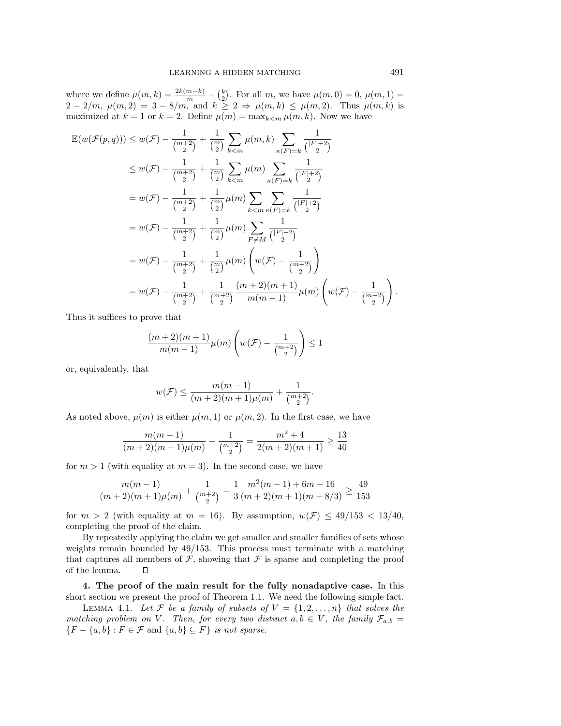where we define  $\mu(m, k) = \frac{2k(m-k)}{m} - {k \choose 2}$ . For all m, we have  $\mu(m, 0) = 0$ ,  $\mu(m, 1) =$  $2-2/m$ ,  $\mu(m, 2) = 3-8/m$ , and  $k \geq 2 \Rightarrow \mu(m, k) \leq \mu(m, 2)$ . Thus  $\mu(m, k)$  is maximized at  $k = 1$  or  $k = 2$ . Define  $\mu(m) = \max_{k \le m} \mu(m, k)$ . Now we have

$$
\mathbb{E}(w(\mathcal{F}(p,q))) \leq w(\mathcal{F}) - \frac{1}{\binom{m+2}{2}} + \frac{1}{\binom{m}{2}} \sum_{k < m} \mu(m,k) \sum_{\kappa(F)=k} \frac{1}{\binom{|F|+2}{2}}
$$
\n
$$
\leq w(\mathcal{F}) - \frac{1}{\binom{m+2}{2}} + \frac{1}{\binom{m}{2}} \sum_{k < m} \mu(m) \sum_{\kappa(F)=k} \frac{1}{\binom{|F|+2}{2}}
$$
\n
$$
= w(\mathcal{F}) - \frac{1}{\binom{m+2}{2}} + \frac{1}{\binom{m}{2}} \mu(m) \sum_{k < m} \sum_{\kappa(F)=k} \frac{1}{\binom{|F|+2}{2}}
$$
\n
$$
= w(\mathcal{F}) - \frac{1}{\binom{m+2}{2}} + \frac{1}{\binom{m}{2}} \mu(m) \sum_{F \neq M} \frac{1}{\binom{|F|+2}{2}}
$$
\n
$$
= w(\mathcal{F}) - \frac{1}{\binom{m+2}{2}} + \frac{1}{\binom{m}{2}} \mu(m) \left( w(\mathcal{F}) - \frac{1}{\binom{m+2}{2}} \right)
$$
\n
$$
= w(\mathcal{F}) - \frac{1}{\binom{m+2}{2}} + \frac{1}{\binom{m+2}{2}} \frac{(m+2)(m+1)}{m(m-1)} \mu(m) \left( w(\mathcal{F}) - \frac{1}{\binom{m+2}{2}} \right).
$$

Thus it suffices to prove that

$$
\frac{(m+2)(m+1)}{m(m-1)}\mu(m)\left(w(\mathcal{F})-\frac{1}{\binom{m+2}{2}}\right)\leq 1
$$

or, equivalently, that

$$
w(\mathcal{F}) \le \frac{m(m-1)}{(m+2)(m+1)\mu(m)} + \frac{1}{\binom{m+2}{2}}.
$$

As noted above,  $\mu(m)$  is either  $\mu(m, 1)$  or  $\mu(m, 2)$ . In the first case, we have

$$
\frac{m(m-1)}{(m+2)(m+1)\mu(m)} + \frac{1}{\binom{m+2}{2}} = \frac{m^2+4}{2(m+2)(m+1)} \ge \frac{13}{40}
$$

for  $m > 1$  (with equality at  $m = 3$ ). In the second case, we have

$$
\frac{m(m-1)}{(m+2)(m+1)\mu(m)}+\frac{1}{\binom{m+2}{2}}=\frac{1}{3}\frac{m^2(m-1)+6m-16}{(m+2)(m+1)(m-8/3)}\geq \frac{49}{153}
$$

for  $m > 2$  (with equality at  $m = 16$ ). By assumption,  $w(\mathcal{F}) \leq 49/153 < 13/40$ , completing the proof of the claim.

By repeatedly applying the claim we get smaller and smaller families of sets whose weights remain bounded by 49/153. This process must terminate with a matching that captures all members of  $\mathcal{F}$ , showing that  $\mathcal{F}$  is sparse and completing the proof of the lemma.  $\Box$ 

**4. The proof of the main result for the fully nonadaptive case.** In this short section we present the proof of Theorem 1.1. We need the following simple fact.

LEMMA 4.1. Let F be a family of subsets of  $V = \{1, 2, ..., n\}$  that solves the matching problem on V. Then, for every two distinct  $a, b \in V$ , the family  $\mathcal{F}_{a,b} =$  ${F - {a, b} : F \in \mathcal{F} \text{ and } {a, b} \subseteq F}$  is not sparse.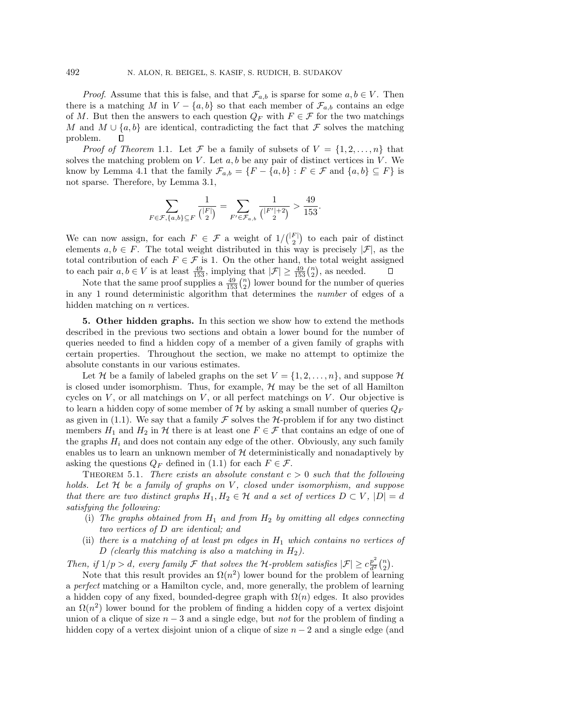*Proof.* Assume that this is false, and that  $\mathcal{F}_{a,b}$  is sparse for some  $a, b \in V$ . Then there is a matching M in  $V - \{a, b\}$  so that each member of  $\mathcal{F}_{a,b}$  contains an edge of M. But then the answers to each question  $Q_F$  with  $F \in \mathcal{F}$  for the two matchings M and  $M \cup \{a, b\}$  are identical, contradicting the fact that F solves the matching problem.  $\Box$ 

*Proof of Theorem* 1.1. Let F be a family of subsets of  $V = \{1, 2, ..., n\}$  that solves the matching problem on V. Let  $a, b$  be any pair of distinct vertices in V. We know by Lemma 4.1 that the family  $\mathcal{F}_{a,b} = \{F - \{a,b\} : F \in \mathcal{F} \text{ and } \{a,b\} \subseteq F\}$  is not sparse. Therefore, by Lemma 3.1,

$$
\sum_{F \in \mathcal{F}, \{a,b\} \subseteq F} \frac{1}{\binom{|F|}{2}} = \sum_{F' \in \mathcal{F}_{a,b}} \frac{1}{\binom{|F'|+2}{2}} > \frac{49}{153}.
$$

We can now assign, for each  $F \in \mathcal{F}$  a weight of  $1/{\binom{|F|}{2}}$  to each pair of distinct elements  $a, b \in F$ . The total weight distributed in this way is precisely  $|\mathcal{F}|$ , as the total contribution of each  $F \in \mathcal{F}$  is 1. On the other hand, the total weight assigned to each pair  $a, b \in V$  is at least  $\frac{49}{153}$ , implying that  $|\mathcal{F}| \ge \frac{49}{153} {n \choose 2}$ , as needed.

Note that the same proof supplies a  $\frac{49}{153} {n \choose 2}$  lower bound for the number of queries in any 1 round deterministic algorithm that determines the number of edges of a hidden matching on *n* vertices.

**5. Other hidden graphs.** In this section we show how to extend the methods described in the previous two sections and obtain a lower bound for the number of queries needed to find a hidden copy of a member of a given family of graphs with certain properties. Throughout the section, we make no attempt to optimize the absolute constants in our various estimates.

Let H be a family of labeled graphs on the set  $V = \{1, 2, ..., n\}$ , and suppose H is closed under isomorphism. Thus, for example,  $H$  may be the set of all Hamilton cycles on  $V$ , or all matchings on  $V$ , or all perfect matchings on  $V$ . Our objective is to learn a hidden copy of some member of  $\mathcal H$  by asking a small number of queries  $Q_F$ as given in (1.1). We say that a family  $\mathcal F$  solves the  $\mathcal H$ -problem if for any two distinct members  $H_1$  and  $H_2$  in  $H$  there is at least one  $F \in \mathcal{F}$  that contains an edge of one of the graphs  $H_i$  and does not contain any edge of the other. Obviously, any such family enables us to learn an unknown member of  $H$  deterministically and nonadaptively by asking the questions  $Q_F$  defined in (1.1) for each  $F \in \mathcal{F}$ .

THEOREM 5.1. There exists an absolute constant  $c > 0$  such that the following holds. Let  $H$  be a family of graphs on V, closed under isomorphism, and suppose that there are two distinct graphs  $H_1, H_2 \in \mathcal{H}$  and a set of vertices  $D \subset V$ ,  $|D| = d$ satisfying the following:

- (i) The graphs obtained from  $H_1$  and from  $H_2$  by omitting all edges connecting two vertices of D are identical; and
- (ii) there is a matching of at least pn edges in  $H_1$  which contains no vertices of  $D$  (clearly this matching is also a matching in  $H_2$ ).

Then, if  $1/p > d$ , every family  $\mathcal F$  that solves the H-problem satisfies  $|\mathcal F| \geq c \frac{p^2}{d^2} {n \choose 2}$ .

Note that this result provides an  $\Omega(n^2)$  lower bound for the problem of learning a perfect matching or a Hamilton cycle, and, more generally, the problem of learning a hidden copy of any fixed, bounded-degree graph with  $\Omega(n)$  edges. It also provides an  $\Omega(n^2)$  lower bound for the problem of finding a hidden copy of a vertex disjoint union of a clique of size  $n-3$  and a single edge, but *not* for the problem of finding a hidden copy of a vertex disjoint union of a clique of size  $n-2$  and a single edge (and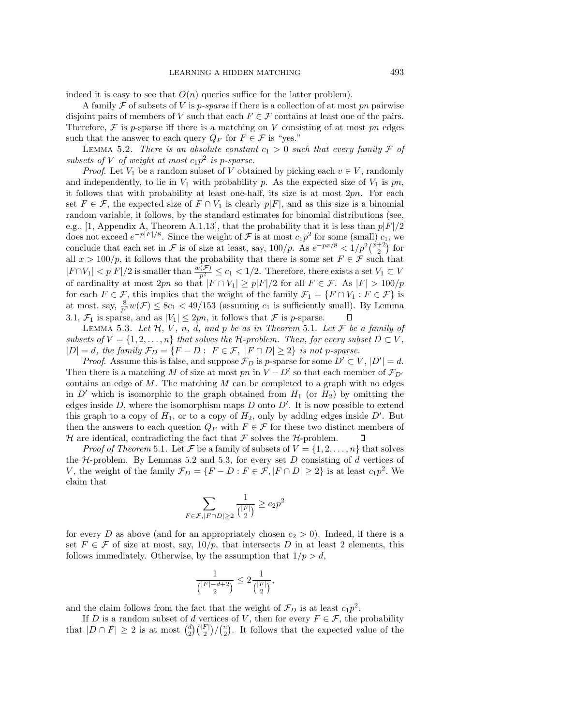indeed it is easy to see that  $O(n)$  queries suffice for the latter problem).

A family  $\mathcal F$  of subsets of V is *p-sparse* if there is a collection of at most pn pairwise disjoint pairs of members of V such that each  $F \in \mathcal{F}$  contains at least one of the pairs. Therefore,  $\mathcal F$  is p-sparse iff there is a matching on V consisting of at most pn edges such that the answer to each query  $Q_F$  for  $F \in \mathcal{F}$  is "yes."

LEMMA 5.2. There is an absolute constant  $c_1 > 0$  such that every family F of subsets of V of weight at most  $c_1p^2$  is p-sparse.

*Proof.* Let  $V_1$  be a random subset of V obtained by picking each  $v \in V$ , randomly and independently, to lie in  $V_1$  with probability p. As the expected size of  $V_1$  is pn, it follows that with probability at least one-half, its size is at most  $2pn$ . For each set  $F \in \mathcal{F}$ , the expected size of  $F \cap V_1$  is clearly  $p|F|$ , and as this size is a binomial random variable, it follows, by the standard estimates for binomial distributions (see, e.g., [1, Appendix A, Theorem A.1.13], that the probability that it is less than  $p|F|/2$ does not exceed  $e^{-p|F|/8}$ . Since the weight of  $\mathcal F$  is at most  $c_1p^2$  for some (small)  $c_1$ , we conclude that each set in F is of size at least, say,  $100/p$ . As  $e^{-px/8} < 1/p^2\binom{x+2}{2}$  for all  $x > 100/p$ , it follows that the probability that there is some set  $F \in \mathcal{F}$  such that  $|F \cap V_1| < p|F|/2$  is smaller than  $\frac{w(\mathcal{F})}{p^2} \leq c_1 < 1/2$ . Therefore, there exists a set  $V_1 \subset V$ of cardinality at most 2pn so that  $|F \cap V_1| \geq p|F|/2$  for all  $F \in \mathcal{F}$ . As  $|F| > 100/p$ for each  $F \in \mathcal{F}$ , this implies that the weight of the family  $\mathcal{F}_1 = \{F \cap V_1 : F \in \mathcal{F}\}\$ is at most, say,  $\frac{8}{p^2}w(\mathcal{F}) \leq 8c_1 < 49/153$  (assuming  $c_1$  is sufficiently small). By Lemma 3.1,  $\mathcal{F}_1$  is sparse, and as  $|V_1| \leq 2pn$ , it follows that  $\mathcal F$  is p-sparse.  $\Box$ 

LEMMA 5.3. Let  $\mathcal{H}, V, n, d, and p$  be as in Theorem 5.1. Let  $\mathcal{F}$  be a family of subsets of  $V = \{1, 2, ..., n\}$  that solves the H-problem. Then, for every subset  $D \subset V$ ,  $|D| = d$ , the family  $\mathcal{F}_D = \{F - D : F \in \mathcal{F}, |F \cap D| \geq 2\}$  is not p-sparse.

*Proof.* Assume this is false, and suppose  $\mathcal{F}_D$  is p-sparse for some  $D' \subset V$ ,  $|D'| = d$ . Then there is a matching M of size at most pn in  $V - D'$  so that each member of  $\mathcal{F}_{D'}$ contains an edge of  $M$ . The matching  $M$  can be completed to a graph with no edges in D' which is isomorphic to the graph obtained from  $H_1$  (or  $H_2$ ) by omitting the edges inside  $D$ , where the isomorphism maps  $D$  onto  $D'$ . It is now possible to extend this graph to a copy of  $H_1$ , or to a copy of  $H_2$ , only by adding edges inside  $D'$ . But then the answers to each question  $Q_F$  with  $F \in \mathcal{F}$  for these two distinct members of  $H$  are identical, contradicting the fact that  $F$  solves the  $H$ -problem.

*Proof of Theorem* 5.1. Let F be a family of subsets of  $V = \{1, 2, ..., n\}$  that solves the  $H$ -problem. By Lemmas 5.2 and 5.3, for every set  $D$  consisting of  $d$  vertices of V, the weight of the family  $\mathcal{F}_D = \{F - D : F \in \mathcal{F}, |F \cap D| \geq 2\}$  is at least  $c_1p^2$ . We claim that

$$
\sum_{F \in \mathcal{F}, |F \cap D| \ge 2} \frac{1}{\binom{|F|}{2}} \ge c_2 p^2
$$

for every D as above (and for an appropriately chosen  $c_2 > 0$ ). Indeed, if there is a set  $F \in \mathcal{F}$  of size at most, say,  $10/p$ , that intersects D in at least 2 elements, this follows immediately. Otherwise, by the assumption that  $1/p > d$ ,

$$
\frac{1}{\binom{|F|-d+2}{2}}\leq 2\frac{1}{\binom{|F|}{2}},
$$

and the claim follows from the fact that the weight of  $\mathcal{F}_D$  is at least  $c_1p^2$ .

If D is a random subset of d vertices of V, then for every  $F \in \mathcal{F}$ , the probability that  $|D \cap F| \geq 2$  is at most  $\binom{d}{2}\binom{|F|}{2}\binom{n}{2}$ . It follows that the expected value of the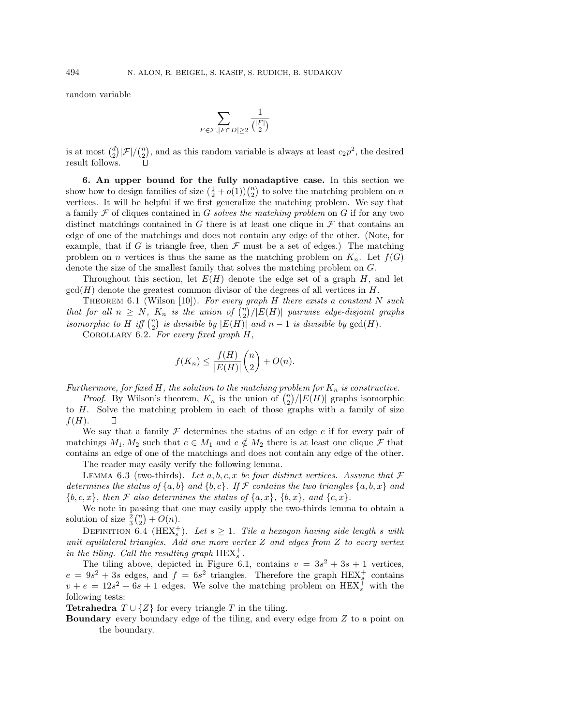random variable

$$
\sum_{F \in \mathcal{F}, |F \cap D| \geq 2} \frac{1}{\binom{|F|}{2}}
$$

is at most  $\binom{d}{2}|\mathcal{F}|/\binom{n}{2}$ , and as this random variable is always at least  $c_2p^2$ , the desired result follows.

**6. An upper bound for the fully nonadaptive case.** In this section we show how to design families of size  $(\frac{1}{2} + o(1))\binom{n}{2}$  to solve the matching problem on n vertices. It will be helpful if we first generalize the matching problem. We say that a family  $\mathcal F$  of cliques contained in G solves the matching problem on G if for any two distinct matchings contained in G there is at least one clique in  $\mathcal F$  that contains an edge of one of the matchings and does not contain any edge of the other. (Note, for example, that if G is triangle free, then  $\mathcal F$  must be a set of edges.) The matching problem on n vertices is thus the same as the matching problem on  $K_n$ . Let  $f(G)$ denote the size of the smallest family that solves the matching problem on G.

Throughout this section, let  $E(H)$  denote the edge set of a graph H, and let  $gcd(H)$  denote the greatest common divisor of the degrees of all vertices in H.

THEOREM 6.1 (Wilson [10]). For every graph  $H$  there exists a constant  $N$  such that for all  $n \geq N$ ,  $K_n$  is the union of  $\binom{n}{2}/|E(H)|$  pairwise edge-disjoint graphs isomorphic to H iff  $\binom{n}{2}$  is divisible by  $|E(H)|$  and  $n-1$  is divisible by  $gcd(H)$ .

COROLLARY  $6.2$ . For every fixed graph  $H$ ,

$$
f(K_n) \le \frac{f(H)}{|E(H)|} \binom{n}{2} + O(n).
$$

Furthermore, for fixed H, the solution to the matching problem for  $K_n$  is constructive.

*Proof.* By Wilson's theorem,  $K_n$  is the union of  $\binom{n}{2}/|E(H)|$  graphs isomorphic to H. Solve the matching problem in each of those graphs with a family of size  $f(H)$ .

We say that a family  $\mathcal F$  determines the status of an edge e if for every pair of matchings  $M_1, M_2$  such that  $e \in M_1$  and  $e \notin M_2$  there is at least one clique  $\mathcal F$  that contains an edge of one of the matchings and does not contain any edge of the other. The reader may easily verify the following lemma.

LEMMA 6.3 (two-thirds). Let  $a, b, c, x$  be four distinct vertices. Assume that  $\mathcal F$ determines the status of  $\{a, b\}$  and  $\{b, c\}$ . If F contains the two triangles  $\{a, b, x\}$  and  ${b, c, x}$ , then F also determines the status of  ${a, x}$ ,  ${b, x}$ , and  ${c, x}$ .

We note in passing that one may easily apply the two-thirds lemma to obtain a solution of size  $\frac{2}{3} {n \choose 2} + O(n)$ .

DEFINITION 6.4 ( $\text{HEX}_s^+$ ). Let  $s \geq 1$ . Tile a hexagon having side length s with unit equilateral triangles. Add one more vertex  $Z$  and edges from  $Z$  to every vertex in the tiling. Call the resulting graph  $\text{HEX}^+_s$ .

The tiling above, depicted in Figure 6.1, contains  $v = 3s^2 + 3s + 1$  vertices,  $e = 9s^2 + 3s$  edges, and  $f = 6s^2$  triangles. Therefore the graph  $\text{HEX}_{s}^{+}$  contains  $v + e = 12s^2 + 6s + 1$  edges. We solve the matching problem on  $\text{HEX}_s^{\dagger}$  with the following tests:

**Tetrahedra**  $T \cup \{Z\}$  for every triangle T in the tiling.

**Boundary** every boundary edge of the tiling, and every edge from Z to a point on the boundary.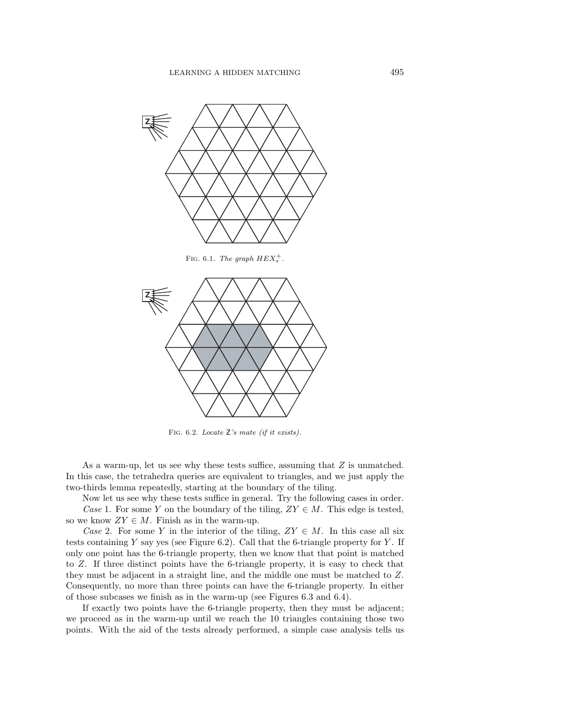

FIG. 6.2. Locate Z's mate (if it exists).

As a warm-up, let us see why these tests suffice, assuming that  $Z$  is unmatched. In this case, the tetrahedra queries are equivalent to triangles, and we just apply the two-thirds lemma repeatedly, starting at the boundary of the tiling.

Now let us see why these tests suffice in general. Try the following cases in order. Case 1. For some Y on the boundary of the tiling,  $ZY \in M$ . This edge is tested,

so we know  $ZY \in M$ . Finish as in the warm-up. Case 2. For some Y in the interior of the tiling,  $ZY \in M$ . In this case all six tests containing  $Y$  say yes (see Figure 6.2). Call that the 6-triangle property for  $Y$ . If only one point has the 6-triangle property, then we know that that point is matched to Z. If three distinct points have the 6-triangle property, it is easy to check that

they must be adjacent in a straight line, and the middle one must be matched to Z. Consequently, no more than three points can have the 6-triangle property. In either of those subcases we finish as in the warm-up (see Figures 6.3 and 6.4).

If exactly two points have the 6-triangle property, then they must be adjacent; we proceed as in the warm-up until we reach the 10 triangles containing those two points. With the aid of the tests already performed, a simple case analysis tells us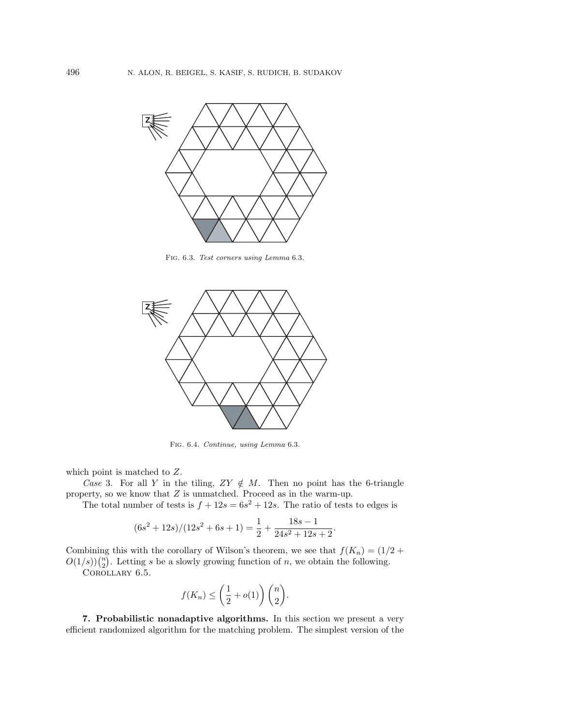

Fig. 6.3. Test corners using Lemma 6.3.



Fig. 6.4. Continue, using Lemma 6.3.

which point is matched to Z.

Case 3. For all Y in the tiling,  $ZY \notin M$ . Then no point has the 6-triangle property, so we know that  $Z$  is unmatched. Proceed as in the warm-up.

The total number of tests is  $f + 12s = 6s^2 + 12s$ . The ratio of tests to edges is

$$
(6s2 + 12s)/(12s2 + 6s + 1) = \frac{1}{2} + \frac{18s - 1}{24s2 + 12s + 2}.
$$

Combining this with the corollary of Wilson's theorem, we see that  $f(K_n) = (1/2 +$  $O(1/s)\binom{n}{2}$ . Letting s be a slowly growing function of n, we obtain the following.

COROLLARY 6.5.

$$
f(K_n) \le \left(\frac{1}{2} + o(1)\right) \binom{n}{2}.
$$

**7. Probabilistic nonadaptive algorithms.** In this section we present a very efficient randomized algorithm for the matching problem. The simplest version of the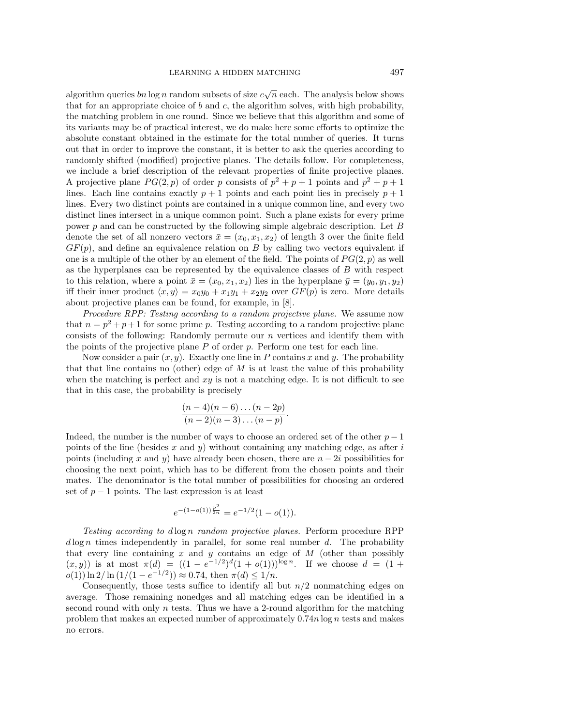algorithm queries  $bn \log n$  random subsets of size  $c\sqrt{n}$  each. The analysis below shows that for an appropriate choice of  $b$  and  $c$ , the algorithm solves, with high probability, the matching problem in one round. Since we believe that this algorithm and some of its variants may be of practical interest, we do make here some efforts to optimize the absolute constant obtained in the estimate for the total number of queries. It turns out that in order to improve the constant, it is better to ask the queries according to randomly shifted (modified) projective planes. The details follow. For completeness, we include a brief description of the relevant properties of finite projective planes. A projective plane  $PG(2, p)$  of order p consists of  $p^2 + p + 1$  points and  $p^2 + p + 1$ lines. Each line contains exactly  $p + 1$  points and each point lies in precisely  $p + 1$ lines. Every two distinct points are contained in a unique common line, and every two distinct lines intersect in a unique common point. Such a plane exists for every prime power  $p$  and can be constructed by the following simple algebraic description. Let  $B$ denote the set of all nonzero vectors  $\bar{x} = (x_0, x_1, x_2)$  of length 3 over the finite field  $GF(p)$ , and define an equivalence relation on B by calling two vectors equivalent if one is a multiple of the other by an element of the field. The points of  $PG(2, p)$  as well as the hyperplanes can be represented by the equivalence classes of B with respect to this relation, where a point  $\bar{x} = (x_0, x_1, x_2)$  lies in the hyperplane  $\bar{y} = (y_0, y_1, y_2)$ iff their inner product  $\langle x, y \rangle = x_0 y_0 + x_1 y_1 + x_2 y_2$  over  $GF(p)$  is zero. More details about projective planes can be found, for example, in [8].

Procedure RPP: Testing according to a random projective plane. We assume now that  $n = p^2 + p + 1$  for some prime p. Testing according to a random projective plane consists of the following: Randomly permute our  $n$  vertices and identify them with the points of the projective plane  $P$  of order  $p$ . Perform one test for each line.

Now consider a pair  $(x, y)$ . Exactly one line in P contains x and y. The probability that that line contains no (other) edge of  $M$  is at least the value of this probability when the matching is perfect and  $xy$  is not a matching edge. It is not difficult to see that in this case, the probability is precisely

$$
\frac{(n-4)(n-6)\dots(n-2p)}{(n-2)(n-3)\dots(n-p)}.
$$

Indeed, the number is the number of ways to choose an ordered set of the other  $p-1$ points of the line (besides x and  $y$ ) without containing any matching edge, as after i points (including x and y) have already been chosen, there are  $n - 2i$  possibilities for choosing the next point, which has to be different from the chosen points and their mates. The denominator is the total number of possibilities for choosing an ordered set of  $p-1$  points. The last expression is at least

$$
e^{-(1-o(1))\frac{p^2}{2n}} = e^{-1/2}(1-o(1)).
$$

Testing according to d log n random projective planes. Perform procedure RPP  $d \log n$  times independently in parallel, for some real number d. The probability that every line containing x and y contains an edge of  $M$  (other than possibly  $(x, y)$ ) is at most  $\pi(d) = ((1 - e^{-1/2})^d (1 + o(1)))^{\log n}$ . If we choose  $d = (1 +$  $o(1)$ ) ln 2/ ln  $(1/(1-e^{-1/2})) \approx 0.74$ , then  $\pi(d) \leq 1/n$ .

Consequently, those tests suffice to identify all but  $n/2$  nonmatching edges on average. Those remaining nonedges and all matching edges can be identified in a second round with only  $n$  tests. Thus we have a 2-round algorithm for the matching problem that makes an expected number of approximately 0.74n log n tests and makes no errors.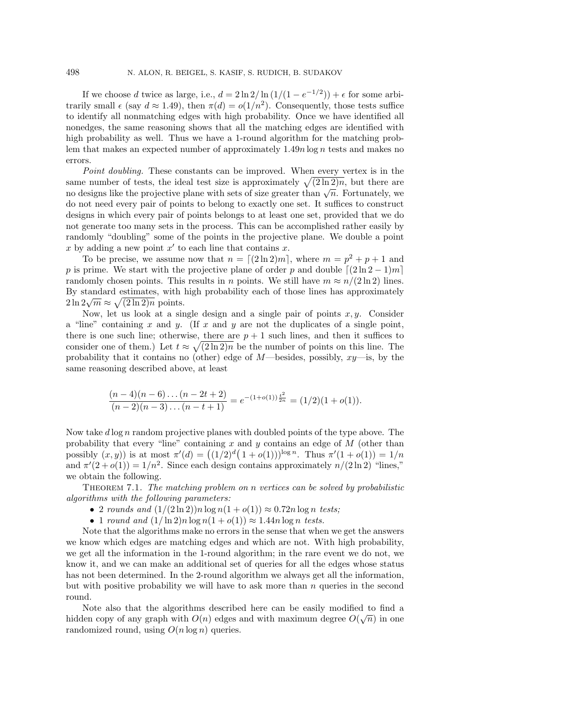If we choose d twice as large, i.e.,  $d = 2 \ln 2 / \ln (1/(1 - e^{-1/2})) + \epsilon$  for some arbitrarily small  $\epsilon$  (say  $d \approx 1.49$ ), then  $\pi(d) = o(1/n^2)$ . Consequently, those tests suffice to identify all nonmatching edges with high probability. Once we have identified all nonedges, the same reasoning shows that all the matching edges are identified with high probability as well. Thus we have a 1-round algorithm for the matching problem that makes an expected number of approximately  $1.49n \log n$  tests and makes no errors.

Point doubling. These constants can be improved. When every vertex is in the same number of tests, the ideal test size is approximately  $\sqrt{(2 \ln 2)n}$ , but there are no designs like the projective plane with sets of size greater than  $\sqrt{n}$ . Fortunately, we do not need every pair of points to belong to exactly one set. It suffices to construct designs in which every pair of points belongs to at least one set, provided that we do not generate too many sets in the process. This can be accomplished rather easily by randomly "doubling" some of the points in the projective plane. We double a point x by adding a new point  $x'$  to each line that contains x.

To be precise, we assume now that  $n = \lfloor (2 \ln 2)m \rfloor$ , where  $m = p^2 + p + 1$  and p is prime. We start with the projective plane of order p and double  $[(2 \ln 2 - 1)m]$ randomly chosen points. This results in n points. We still have  $m \approx n/(2 \ln 2)$  lines. By standard estimates, with high probability each of those lines has approximately  $2 \ln 2\sqrt{m} \approx \sqrt{(2 \ln 2)n}$  points.

Now, let us look at a single design and a single pair of points  $x, y$ . Consider a "line" containing  $x$  and  $y$ . (If  $x$  and  $y$  are not the duplicates of a single point, there is one such line; otherwise, there are  $p + 1$  such lines, and then it suffices to consider one of them.) Let  $t \approx \sqrt{(2 \ln 2)n}$  be the number of points on this line. The probability that it contains no (other) edge of  $M$ —besides, possibly,  $xy$ —is, by the same reasoning described above, at least

$$
\frac{(n-4)(n-6)\dots(n-2t+2)}{(n-2)(n-3)\dots(n-t+1)} = e^{-(1+o(1))\frac{t^2}{2n}} = (1/2)(1+o(1)).
$$

Now take  $d \log n$  random projective planes with doubled points of the type above. The probability that every "line" containing  $x$  and  $y$  contains an edge of  $M$  (other than possibly  $(x, y)$  is at most  $\pi'(d) = ((1/2)^d (1 + o(1)))^{\log n}$ . Thus  $\pi'(1 + o(1)) = 1/n$ and  $\pi'(2 + o(1)) = 1/n^2$ . Since each design contains approximately  $n/(2 \ln 2)$  "lines," we obtain the following.

THEOREM 7.1. The matching problem on n vertices can be solved by probabilistic algorithms with the following parameters:

- 2 rounds and  $\left(\frac{1}{2 \ln 2}\right) n \log n (1 + o(1)) \approx 0.72 n \log n$  tests;
- 1 round and  $(1/\ln 2)n \log n(1 + o(1)) \approx 1.44n \log n$  tests.

Note that the algorithms make no errors in the sense that when we get the answers we know which edges are matching edges and which are not. With high probability, we get all the information in the 1-round algorithm; in the rare event we do not, we know it, and we can make an additional set of queries for all the edges whose status has not been determined. In the 2-round algorithm we always get all the information, but with positive probability we will have to ask more than  $n$  queries in the second round.

Note also that the algorithms described here can be easily modified to find a hidden copy of any graph with  $O(n)$  edges and with maximum degree  $O(\sqrt{n})$  in one randomized round, using  $O(n \log n)$  queries.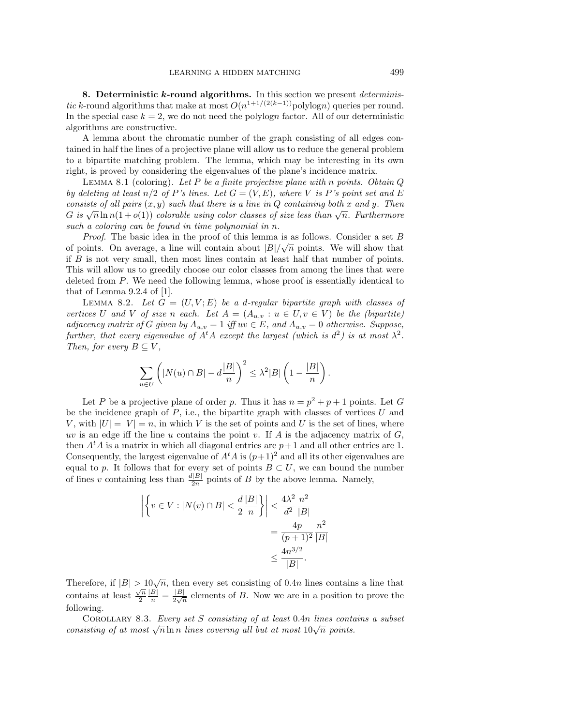**8. Deterministic** *k***-round algorithms.** In this section we present deterministic k-round algorithms that make at most  $O(n^{1+1/(2(k-1))}\text{polylog} n)$  queries per round. In the special case  $k = 2$ , we do not need the polylogn factor. All of our deterministic algorithms are constructive.

A lemma about the chromatic number of the graph consisting of all edges contained in half the lines of a projective plane will allow us to reduce the general problem to a bipartite matching problem. The lemma, which may be interesting in its own right, is proved by considering the eigenvalues of the plane's incidence matrix.

LEMMA 8.1 (coloring). Let P be a finite projective plane with n points. Obtain  $Q$ by deleting at least  $n/2$  of P's lines. Let  $G = (V, E)$ , where V is P's point set and E consists of all pairs  $(x, y)$  such that there is a line in Q containing both x and y. Then G is  $\sqrt{n} \ln n(1+o(1))$  colorable using color classes of size less than  $\sqrt{n}$ . Furthermore such a coloring can be found in time polynomial in n.

*Proof.* The basic idea in the proof of this lemma is as follows. Consider a set  $B$ *Troof.* The basic idea in the proof of this lemma is as follows. Consider a set *B* of points. On average, a line will contain about  $|B|/\sqrt{n}$  points. We will show that if B is not very small, then most lines contain at least half that number of points. This will allow us to greedily choose our color classes from among the lines that were deleted from P. We need the following lemma, whose proof is essentially identical to that of Lemma 9.2.4 of [1].

LEMMA 8.2. Let  $G = (U, V; E)$  be a d-regular bipartite graph with classes of vertices U and V of size n each. Let  $A = (A_{u,v} : u \in U, v \in V)$  be the (bipartite) adjacency matrix of G given by  $A_{u,v} = 1$  iff  $uv \in E$ , and  $A_{u,v} = 0$  otherwise. Suppose, further, that every eigenvalue of  $A<sup>t</sup>A$  except the largest (which is  $d<sup>2</sup>$ ) is at most  $\lambda<sup>2</sup>$ . Then, for every  $B \subseteq V$ ,

$$
\sum_{u\in U} \left( |N(u) \cap B| - d\frac{|B|}{n} \right)^2 \leq \lambda^2 |B| \left( 1 - \frac{|B|}{n} \right).
$$

Let P be a projective plane of order p. Thus it has  $n = p^2 + p + 1$  points. Let G be the incidence graph of  $P$ , i.e., the bipartite graph with classes of vertices  $U$  and V, with  $|U| = |V| = n$ , in which V is the set of points and U is the set of lines, where uv is an edge iff the line u contains the point v. If A is the adjacency matrix of  $G$ , then  $A<sup>t</sup>A$  is a matrix in which all diagonal entries are  $p+1$  and all other entries are 1. Consequently, the largest eigenvalue of  $A<sup>t</sup>A$  is  $(p+1)<sup>2</sup>$  and all its other eigenvalues are equal to p. It follows that for every set of points  $B \subset U$ , we can bound the number of lines v containing less than  $\frac{d|B|}{2n}$  points of B by the above lemma. Namely,

$$
\left| \left\{ v \in V : |N(v) \cap B| < \frac{d}{2} \frac{|B|}{n} \right\} \right| < \frac{4\lambda^2}{d^2} \frac{n^2}{|B|} \\
= \frac{4p}{(p+1)^2} \frac{n^2}{|B|} \\
\leq \frac{4n^{3/2}}{|B|}.
$$

Therefore, if  $|B| > 10\sqrt{n}$ , then every set consisting of 0.4*n* lines contains a line that contains at least  $\frac{\sqrt{n}}{2}$  $\frac{|B|}{n} = \frac{|B|}{2\sqrt{n}}$  elements of B. Now we are in a position to prove the following.

COROLLARY 8.3. Every set S consisting of at least  $0.4n$  lines contains a subset consisting of at most  $\sqrt{n} \ln n$  lines covering all but at most  $10\sqrt{n}$  points.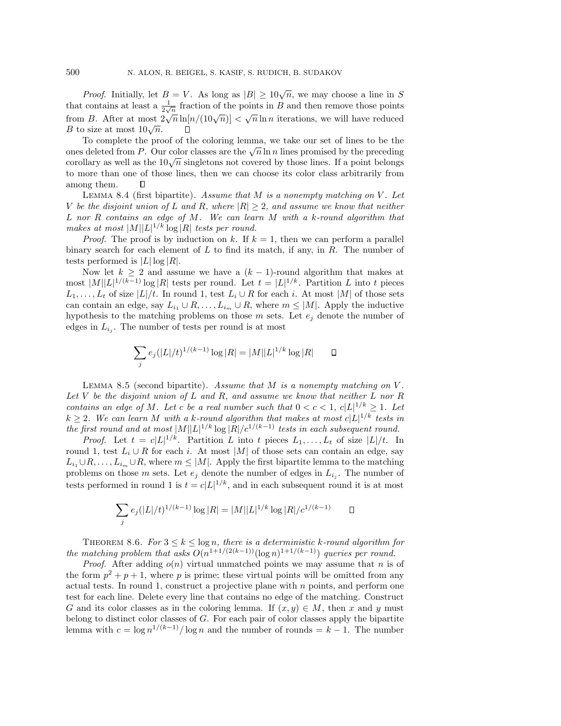*Proof.* Initially, let  $B = V$ . As long as  $|B| \geq 10\sqrt{n}$ , we may choose a line in S that contains at least a  $\frac{1}{2\sqrt{n}}$  fraction of the points in B and then remove those points from B. After at most  $2\sqrt{n}\ln[n/(10\sqrt{n})]<\sqrt{n}\ln n$  iterations, we will have reduced B to size at most  $10\sqrt{n}$ .

To complete the proof of the coloring lemma, we take our set of lines to be the ones deleted from P. Our color classes are the  $\sqrt{n} \ln n$  lines promised by the preceding corollary as well as the  $10\sqrt{n}$  singletons not covered by those lines. If a point belongs to more than one of those lines, then we can choose its color class arbitrarily from among them. Л

LEMMA 8.4 (first bipartite). Assume that  $M$  is a nonempty matching on  $V$ . Let V be the disjoint union of L and R, where  $|R| \geq 2$ , and assume we know that neither  $L$  nor  $R$  contains an edge of  $M$ . We can learn  $M$  with a k-round algorithm that makes at most  $|M||L|^{1/k} \log |R|$  tests per round.

*Proof.* The proof is by induction on k. If  $k = 1$ , then we can perform a parallel binary search for each element of  $L$  to find its match, if any, in  $R$ . The number of tests performed is  $|L| \log |R|$ .

Now let  $k \geq 2$  and assume we have a  $(k-1)$ -round algorithm that makes at most  $|M||L|^{1/(k-1)}$  log |R| tests per round. Let  $t = |L|^{1/k}$ . Partition L into t pieces  $L_1,\ldots,L_t$  of size  $|L|/t$ . In round 1, test  $L_i\cup R$  for each i. At most  $|M|$  of those sets can contain an edge, say  $L_{i_1} \cup R, \ldots, L_{i_m} \cup R$ , where  $m \leq |M|$ . Apply the inductive hypothesis to the matching problems on those m sets. Let  $e_i$  denote the number of edges in  $L_{i_j}$ . The number of tests per round is at most

$$
\sum_{j} e_j (|L|/t)^{1/(k-1)} \log |R| = |M||L|^{1/k} \log |R| \qquad \Box
$$

LEMMA 8.5 (second bipartite). Assume that  $M$  is a nonempty matching on  $V$ . Let V be the disjoint union of L and R, and assume we know that neither L nor R contains an edge of M. Let c be a real number such that  $0 < c < 1$ ,  $c|L|^{1/k} \geq 1$ . Let  $k \geq 2$ . We can learn M with a k-round algorithm that makes at most  $c|L|^{1/k}$  tests in the first round and at most  $|M||L|^{1/k} \log |R|/c^{1/(k-1)}$  tests in each subsequent round.

*Proof.* Let  $t = c|L|^{1/k}$ . Partition L into t pieces  $L_1, \ldots, L_t$  of size  $|L|/t$ . In round 1, test  $L_i \cup R$  for each i. At most |M| of those sets can contain an edge, say  $L_{i_1} \cup R, \ldots, L_{i_m} \cup R$ , where  $m \leq |M|$ . Apply the first bipartite lemma to the matching problems on those m sets. Let  $e_j$  denote the number of edges in  $L_{i_j}$ . The number of tests performed in round 1 is  $t = c|L|^{1/k}$ , and in each subsequent round it is at most

$$
\sum_j e_j (|L|/t)^{1/(k-1)} \log |R| = |M||L|^{1/k} \log |R|/c^{1/(k-1)} \qquad \Box
$$

THEOREM 8.6. For  $3 \leq k \leq \log n$ , there is a deterministic k-round algorithm for the matching problem that asks  $O(n^{1+1/(2(k-1))}(\log n)^{1+1/(k-1)})$  queries per round.

*Proof.* After adding  $o(n)$  virtual unmatched points we may assume that n is of the form  $p^2 + p + 1$ , where p is prime; these virtual points will be omitted from any actual tests. In round 1, construct a projective plane with  $n$  points, and perform one test for each line. Delete every line that contains no edge of the matching. Construct G and its color classes as in the coloring lemma. If  $(x, y) \in M$ , then x and y must belong to distinct color classes of G. For each pair of color classes apply the bipartite lemma with  $c = \log n^{1/(k-1)}/\log n$  and the number of rounds = k – 1. The number